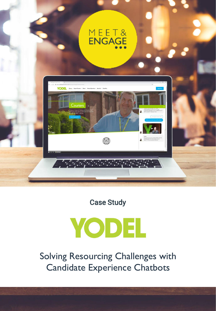



Case Study

# **YODEL**

Solving Resourcing Challenges with Candidate Experience Chatbots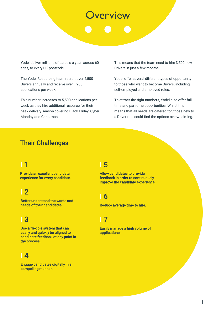## **verview**

Yodel deliver millions of parcels a year, across 60 sites, to every UK postcode.

The Yodel Resourcing team recruit over 4,500 Drivers annually and receive over 1,200 applications per week.

This number increases to 5,500 applications per week as they hire additional resource for their peak delivery season covering Black Friday, Cyber Monday and Christmas.

This means that the team need to hire 3,500 new Drivers in just a few months.

Yodel offer several different types of opportunity to those who want to become Drivers, including self-employed and employed roles.

To attract the right numbers, Yodel also offer fulltime and part-time opportunities. Whilst this means that all needs are catered for, those new to a Driver role could find the options overwhelming.

#### Their Challenges

### I 1

Provide an excellent candidate experience for every candidate.

#### I 2

Better understand the wants and needs of their candidates.

### I 3

Use a flexible system that can easily and quickly be aligned to candidate feedback at any point in the process.

#### I 4

Engage candidates digitally in a compelling manner.

#### I 5

Allow candidates to provide feedback in order to continuously improve the candidate experience.

#### I 6

Reduce average time to hire.

#### I 7

Easily manage a high volume of applications.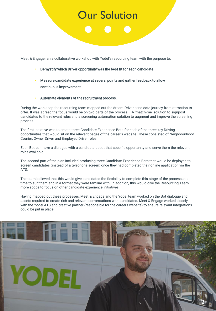## **Our Solution**

Meet & Engage ran a collaborative workshop with Yodel's resourcing team with the purpose to:

- Demystify which Driver opportunity was the best fit for each candidate
- Measure candidate experience at several points and gather feedback to allow continuous improvement
- Automate elements of the recruitment process.

YODE

During the workshop the resourcing team mapped out the dream Driver candidate journey from attraction to offer. It was agreed the focus would be on two parts of the process – A 'match-me' solution to signpost candidates to the relevant roles and a screening automation solution to augment and improve the screening process.

The first initiative was to create three Candidate Experience Bots for each of the three key Driving opportunities that would sit on the relevant pages of the career's website. These consisted of Neighbourhood Courier, Owner Driver and Employed Driver roles.

Each Bot can have a dialogue with a candidate about that specific opportunity and serve them the relevant roles available.

The second part of the plan included producing three Candidate Experience Bots that would be deployed to screen candidates (instead of a telephone screen) once they had completed their online application via the ATS.

The team believed that this would give candidates the flexibility to complete this stage of the process at a time to suit them and in a format they were familiar with. In addition, this would give the Resourcing Team more scope to focus on other candidate experience initiatives.

Having mapped out these processes, Meet & Engage and the Yodel team worked on the Bot dialogue and assets required to create rich and relevant conversations with candidates. Meet & Engage worked closely with the Yodel ATS and creative partner (responsible for the careers website) to ensure relevant integrations could be put in place.

**2**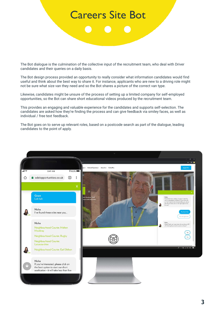## Careers Site Bot

The Bot dialogue is the culmination of the collective input of the recruitment team, who deal with Driver candidates and their queries on a daily basis.

The Bot design process provided an opportunity to really consider what information candidates would find useful and think about the best way to share it. For instance, applicants who are new to a driving role might not be sure what size van they need and so the Bot shares a picture of the correct van type.

Likewise, candidates might be unsure of the process of setting up a limited company for self-employed opportunities, so the Bot can share short educational videos produced by the recruitment team.

This provides an engaging and valuable experience for the candidates and supports self-selection. The candidates are asked how they're finding the process and can give feedback via smiley faces, as well as individual / free text feedback.

The Bot goes on to serve up relevant roles, based on a postcode search as part of the dialogue, leading candidates to the point of apply.

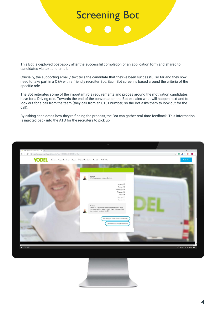## Screening Bot

This Bot is deployed post-apply after the successful completion of an application form and shared to candidates via text and email.

Crucially, the supporting email / text tells the candidate that they've been successful so far and they now need to take part in a Q&A with a friendly recruiter Bot. Each Bot screen is based around the criteria of the specific role.

The Bot reiterates some of the important role requirements and probes around the motivation candidates have for a Driving role. Towards the end of the conversation the Bot explains what will happen next and to look out for a call from the team (they call from an 0151 number, so the Bot asks them to look out for the call).

By asking candidates how they're finding the process, the Bot can gather real-time feedback. This information is injected back into the ATS for the recruiters to pick up.



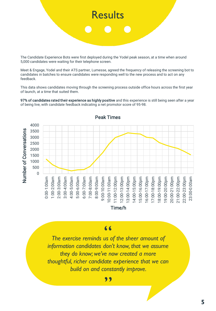

The Candidate Experience Bots were first deployed during the Yodel peak season, at a time when around 5,000 candidates were waiting for their telephone screen.

Meet & Engage, Yodel and their ATS partner, Lumesse, agreed the frequency of releasing the screening bot to candidates in batches to ensure candidates were responding well to the new process and to act on any feedback.

This data shows candidates moving through the screening process outside office hours across the first year of launch, at a time that suited them.

97% of candidates rated their experience as highly positive and this experience is still being seen after a year of being live, with candidate feedback indicating a net promotor score of 95-98.



*The exercise reminds us of the sheer amount of*  " *information candidates don't know, that we assume they do know; we've now created a more thoughtful, richer candidate experience that we can build on and constantly improve.*  "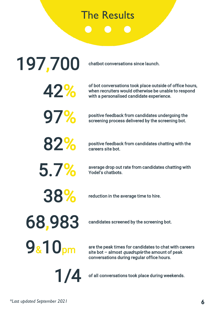## The Results

42% of bot conversations took place outside of office hours, when recruiters would otherwise be unable to respond with a personalised candidate experience. **97%** positive feedback from candidates undergoing the screening bot. screening process delivered by the screening bot. 197,700 chatbot conversations since launch. **82%** positive feedback from candidates chatting with the careers site bot. average drop out rate from candidates chatting with<br>Yodel's chatbots. 38% reduction in the average time to hire. 68,983 candidates screened by the screening bot. are the peak times for candidates to chat with careers site bot – almost quadruple the amount of peak conversations during regular office hours. 9&10pm 1/4 of all conversations took place during weekends.